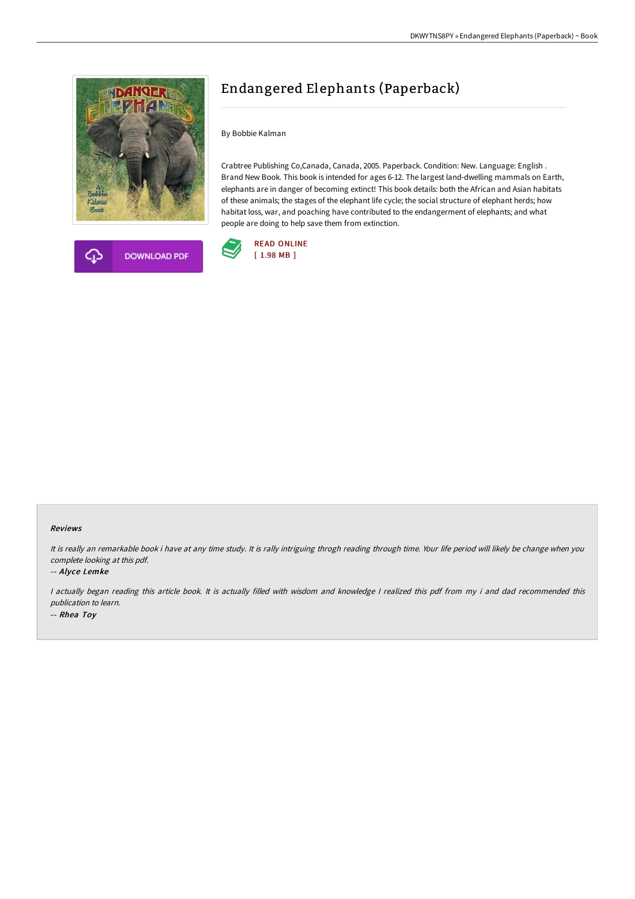



# Endangered Elephants (Paperback)

By Bobbie Kalman

Crabtree Publishing Co,Canada, Canada, 2005. Paperback. Condition: New. Language: English . Brand New Book. This book is intended for ages 6-12. The largest land-dwelling mammals on Earth, elephants are in danger of becoming extinct! This book details: both the African and Asian habitats of these animals; the stages of the elephant life cycle; the social structure of elephant herds; how habitat loss, war, and poaching have contributed to the endangerment of elephants; and what people are doing to help save them from extinction.



#### Reviews

It is really an remarkable book i have at any time study. It is rally intriguing throgh reading through time. Your life period will likely be change when you complete looking at this pdf.

-- Alyce Lemke

<sup>I</sup> actually began reading this article book. It is actually filled with wisdom and knowledge <sup>I</sup> realized this pdf from my i and dad recommended this publication to learn. -- Rhea Toy